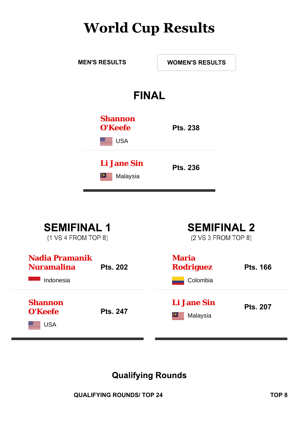## **World Cup Results**



| <b>SEMIFINAL 1</b><br>(1 VS 4 FROM TOP 8)               |                 | <b>SEMIFINAL 2</b><br>(2 VS 3 FROM TOP 8)    |                 |  |  |  |  |
|---------------------------------------------------------|-----------------|----------------------------------------------|-----------------|--|--|--|--|
| <b>Nadia Pramanik</b><br><b>Nuramalina</b><br>Indonesia | <b>Pts. 202</b> | <b>Maria</b><br><b>Rodriguez</b><br>Colombia | <b>Pts. 166</b> |  |  |  |  |
| <b>Shannon</b><br>O'Keefe<br><b>USA</b>                 | <b>Pts. 247</b> | <b>Li Jane Sin</b><br>Malaysia               | <b>Pts. 207</b> |  |  |  |  |

### **Qualifying Rounds**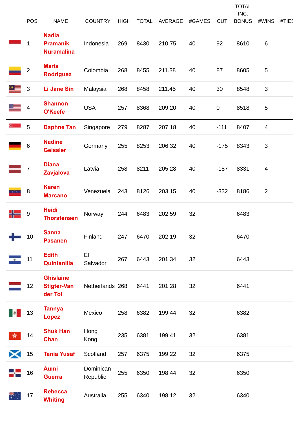|           | <b>POS</b>     | <b>NAME</b>                                          | <b>COUNTRY</b>        | <b>HIGH</b> | <b>TOTAL</b> | <b>AVERAGE</b> | #GAMES | <b>CUT</b>  | <b>TOTAL</b><br>INC.<br><b>BONUS</b> | #WINS          | #TIES |
|-----------|----------------|------------------------------------------------------|-----------------------|-------------|--------------|----------------|--------|-------------|--------------------------------------|----------------|-------|
|           | $\mathbf 1$    | <b>Nadia</b><br><b>Pramanik</b><br><b>Nuramalina</b> | Indonesia             | 269         | 8430         | 210.75         | 40     | 92          | 8610                                 | 6              |       |
|           | $\overline{2}$ | <b>Maria</b><br><b>Rodriguez</b>                     | Colombia              | 268         | 8455         | 211.38         | 40     | 87          | 8605                                 | 5              |       |
|           | $\mathfrak{S}$ | Li Jane Sin                                          | Malaysia              | 268         | 8458         | 211.45         | 40     | 30          | 8548                                 | 3              |       |
|           | 4              | <b>Shannon</b><br>O'Keefe                            | <b>USA</b>            | 257         | 8368         | 209.20         | 40     | $\mathbf 0$ | 8518                                 | 5              |       |
| $C =$     | 5              | <b>Daphne Tan</b>                                    | Singapore             | 279         | 8287         | 207.18         | 40     | $-111$      | 8407                                 | $\overline{4}$ |       |
|           | $6\,$          | <b>Nadine</b><br><b>Geissler</b>                     | Germany               | 255         | 8253         | 206.32         | 40     | $-175$      | 8343                                 | 3              |       |
|           | 7              | <b>Diana</b><br><b>Zavjalova</b>                     | Latvia                | 258         | 8211         | 205.28         | 40     | $-187$      | 8331                                 | 4              |       |
|           | 8              | <b>Karen</b><br><b>Marcano</b>                       | Venezuela             | 243         | 8126         | 203.15         | 40     | $-332$      | 8186                                 | $\overline{2}$ |       |
|           | 9              | <b>Heidi</b><br><b>Thorstensen</b>                   | Norway                | 244         | 6483         | 202.59         | 32     |             | 6483                                 |                |       |
|           | 10             | <b>Sanna</b><br><b>Pasanen</b>                       | Finland               | 247         | 6470         | 202.19         | 32     |             | 6470                                 |                |       |
| $\bullet$ | 11             | <b>Edith</b><br>Quintanilla                          | EI<br>Salvador        | 267         | 6443         | 201.34         | 32     |             | 6443                                 |                |       |
|           | 12             | <b>Ghislaine</b><br><b>Stigter-Van</b><br>der Tol    | Netherlands 268       |             | 6441         | 201.28         | 32     |             | 6441                                 |                |       |
|           | 13             | <b>Tannya</b><br><b>Lopez</b>                        | Mexico                | 258         | 6382         | 199.44         | 32     |             | 6382                                 |                |       |
| 蠹         | 14             | <b>Shuk Han</b><br><b>Chan</b>                       | Hong<br>Kong          | 235         | 6381         | 199.41         | 32     |             | 6381                                 |                |       |
| Х         | 15             | <b>Tania Yusaf</b>                                   | Scotland              | 257         | 6375         | 199.22         | 32     |             | 6375                                 |                |       |
|           | 16             | <b>Aumi</b><br><b>Guerra</b>                         | Dominican<br>Republic | 255         | 6350         | 198.44         | 32     |             | 6350                                 |                |       |
| *∵        | 17             | <b>Rebecca</b><br><b>Whiting</b>                     | Australia             | 255         | 6340         | 198.12         | 32     |             | 6340                                 |                |       |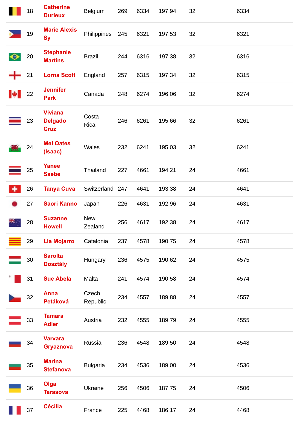|    | 18 | <b>Catherine</b><br><b>Durieux</b>              | Belgium               | 269 | 6334 | 197.94 | 32 | 6334 |
|----|----|-------------------------------------------------|-----------------------|-----|------|--------|----|------|
|    | 19 | <b>Marie Alexis</b><br><b>Sy</b>                | Philippines           | 245 | 6321 | 197.53 | 32 | 6321 |
| ◆  | 20 | <b>Stephanie</b><br><b>Martins</b>              | <b>Brazil</b>         | 244 | 6316 | 197.38 | 32 | 6316 |
|    | 21 | <b>Lorna Scott</b>                              | England               | 257 | 6315 | 197.34 | 32 | 6315 |
| ю. | 22 | <b>Jennifer</b><br><b>Park</b>                  | Canada                | 248 | 6274 | 196.06 | 32 | 6274 |
|    | 23 | <b>Viviana</b><br><b>Delgado</b><br><b>Cruz</b> | Costa<br>Rica         | 246 | 6261 | 195.66 | 32 | 6261 |
|    | 24 | <b>Mel Oates</b><br>(Isaac)                     | Wales                 | 232 | 6241 | 195.03 | 32 | 6241 |
|    | 25 | <b>Yanee</b><br><b>Saebe</b>                    | Thailand              | 227 | 4661 | 194.21 | 24 | 4661 |
| ٠  | 26 | <b>Tanya Cuva</b>                               | Switzerland 247       |     | 4641 | 193.38 | 24 | 4641 |
|    | 27 | <b>Saori Kanno</b>                              | Japan                 | 226 | 4631 | 192.96 | 24 | 4631 |
|    | 28 | <b>Suzanne</b><br><b>Howell</b>                 | <b>New</b><br>Zealand | 256 | 4617 | 192.38 | 24 | 4617 |
|    | 29 | <b>Lia Mojarro</b>                              | Catalonia             | 237 | 4578 | 190.75 | 24 | 4578 |
|    | 30 | <b>Sarolta</b><br><b>Dosztály</b>               | Hungary               | 236 | 4575 | 190.62 | 24 | 4575 |
|    | 31 | <b>Sue Abela</b>                                | Malta                 | 241 | 4574 | 190.58 | 24 | 4574 |
|    | 32 | <b>Anna</b><br>Petáková                         | Czech<br>Republic     | 234 | 4557 | 189.88 | 24 | 4557 |
|    | 33 | <b>Tamara</b><br><b>Adler</b>                   | Austria               | 232 | 4555 | 189.79 | 24 | 4555 |
|    | 34 | <b>Varvara</b><br><b>Gryaznova</b>              | Russia                | 236 | 4548 | 189.50 | 24 | 4548 |
|    | 35 | <b>Marina</b><br><b>Stefanova</b>               | <b>Bulgaria</b>       | 234 | 4536 | 189.00 | 24 | 4536 |
|    | 36 | Olga<br><b>Tarasova</b>                         | Ukraine               | 256 | 4506 | 187.75 | 24 | 4506 |
|    | 37 | <b>Cécilia</b>                                  | France                | 225 | 4468 | 186.17 | 24 | 4468 |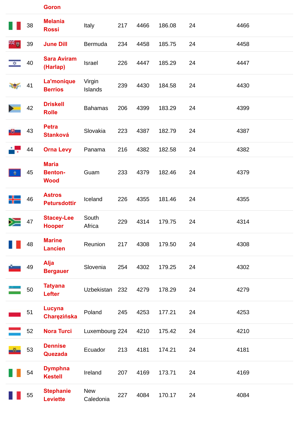|      | 38 | <b>Melania</b><br><b>Rossi</b>                | Italy                   | 217 | 4466 | 186.08 | 24 | 4466 |
|------|----|-----------------------------------------------|-------------------------|-----|------|--------|----|------|
| a⊯ A | 39 | <b>June Dill</b>                              | Bermuda                 | 234 | 4458 | 185.75 | 24 | 4458 |
|      | 40 | <b>Sara Aviram</b><br>(Harlap)                | Israel                  | 226 | 4447 | 185.29 | 24 | 4447 |
|      | 41 | La'monique<br><b>Berrios</b>                  | Virgin<br>Islands       | 239 | 4430 | 184.58 | 24 | 4430 |
|      | 42 | <b>Driskell</b><br><b>Rolle</b>               | <b>Bahamas</b>          | 206 | 4399 | 183.29 | 24 | 4399 |
| JU.  | 43 | <b>Petra</b><br><b>Stanková</b>               | Slovakia                | 223 | 4387 | 182.79 | 24 | 4387 |
|      | 44 | <b>Orna Levy</b>                              | Panama                  | 216 | 4382 | 182.58 | 24 | 4382 |
|      | 45 | <b>Maria</b><br><b>Benton-</b><br><b>Wood</b> | Guam                    | 233 | 4379 | 182.46 | 24 | 4379 |
|      | 46 | <b>Astros</b><br><b>Petursdottir</b>          | Iceland                 | 226 | 4355 | 181.46 | 24 | 4355 |
|      | 47 | <b>Stacey-Lee</b><br><b>Hooper</b>            | South<br>Africa         | 229 | 4314 | 179.75 | 24 | 4314 |
|      | 48 | <b>Marine</b><br><b>Lancien</b>               | Reunion                 | 217 | 4308 | 179.50 | 24 | 4308 |
|      | 49 | Alja<br><b>Bergauer</b>                       | Slovenia                | 254 | 4302 | 179.25 | 24 | 4302 |
|      | 50 | <b>Tatyana</b><br>Lefter                      | Uzbekistan 232          |     | 4279 | 178.29 | 24 | 4279 |
|      | 51 | <b>Lucyna</b><br>Charęzińska                  | Poland                  | 245 | 4253 | 177.21 | 24 | 4253 |
|      | 52 | <b>Nora Turci</b>                             | Luxembourg 224          |     | 4210 | 175.42 | 24 | 4210 |
|      | 53 | <b>Dennise</b><br>Quezada                     | Ecuador                 | 213 | 4181 | 174.21 | 24 | 4181 |
|      | 54 | <b>Dymphna</b><br><b>Kestell</b>              | Ireland                 | 207 | 4169 | 173.71 | 24 | 4169 |
|      | 55 | <b>Stephanie</b><br><b>Leviette</b>           | <b>New</b><br>Caledonia | 227 | 4084 | 170.17 | 24 | 4084 |

**Goron**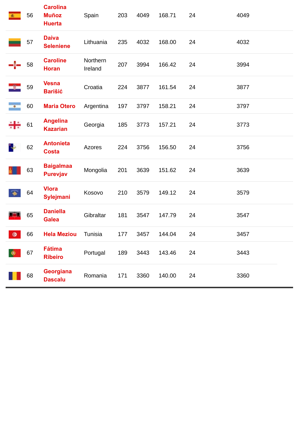|           | 56 | <b>Carolina</b><br><b>Muñoz</b><br><b>Huerta</b> | Spain               | 203 | 4049 | 168.71 | 24 | 4049 |
|-----------|----|--------------------------------------------------|---------------------|-----|------|--------|----|------|
|           | 57 | <b>Daiva</b><br><b>Seleniene</b>                 | Lithuania           | 235 | 4032 | 168.00 | 24 | 4032 |
|           | 58 | <b>Caroline</b><br><b>Horan</b>                  | Northern<br>Ireland | 207 | 3994 | 166.42 | 24 | 3994 |
|           | 59 | <b>Vesna</b><br><b>Barišić</b>                   | Croatia             | 224 | 3877 | 161.54 | 24 | 3877 |
| $\bullet$ | 60 | <b>Maria Otero</b>                               | Argentina           | 197 | 3797 | 158.21 | 24 | 3797 |
|           | 61 | <b>Angelina</b><br><b>Kazarian</b>               | Georgia             | 185 | 3773 | 157.21 | 24 | 3773 |
|           | 62 | <b>Antonieta</b><br><b>Costa</b>                 | Azores              | 224 | 3756 | 156.50 | 24 | 3756 |
|           | 63 | <b>Baigalmaa</b><br><b>Purevjav</b>              | Mongolia            | 201 | 3639 | 151.62 | 24 | 3639 |
|           | 64 | <b>Vlora</b><br>Sylejmani                        | Kosovo              | 210 | 3579 | 149.12 | 24 | 3579 |
|           | 65 | <b>Daniella</b><br><b>Galea</b>                  | Gibraltar           | 181 | 3547 | 147.79 | 24 | 3547 |
| $\bullet$ | 66 | <b>Hela Meziou</b>                               | Tunisia             | 177 | 3457 | 144.04 | 24 | 3457 |
| ◉         | 67 | <b>Fátima</b><br><b>Ribeiro</b>                  | Portugal            | 189 | 3443 | 143.46 | 24 | 3443 |
|           | 68 | Georgiana<br><b>Dascalu</b>                      | Romania             | 171 | 3360 | 140.00 | 24 | 3360 |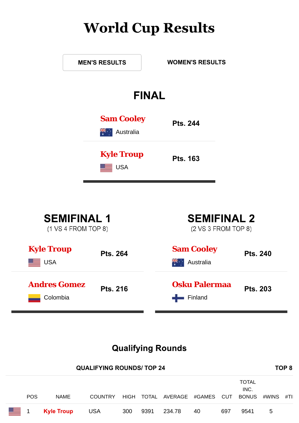# **World Cup Results**

|                                 | <b>FINAL</b> |                 |  |
|---------------------------------|--------------|-----------------|--|
| <b>Sam Cooley</b>               | Australia    | <b>Pts. 244</b> |  |
| <b>Kyle Troup</b><br><b>USA</b> |              | <b>Pts. 163</b> |  |
|                                 |              |                 |  |

| <b>Andres Gomez</b><br>Colombia         | <b>Pts. 216</b> | <b>Osku Palermaa</b><br>Finland         | <b>Pts. 203</b> |  |  |  |  |
|-----------------------------------------|-----------------|-----------------------------------------|-----------------|--|--|--|--|
| <b>Kyle Troup</b><br><b>USA</b>         | <b>Pts. 264</b> | <b>Sam Cooley</b><br>Australia          | <b>Pts. 240</b> |  |  |  |  |
| $(1 \text{ VS } 4 \text{ FROM TOP } 8)$ |                 | $(2 \text{ VS } 3 \text{ FROM TOP } 8)$ |                 |  |  |  |  |

## **Qualifying Rounds**

| <b>QUALIFYING ROUNDS/TOP 24</b> |            |                   |                |     |            |                    |    |     |                                      |       | TOP <sub>8</sub> |
|---------------------------------|------------|-------------------|----------------|-----|------------|--------------------|----|-----|--------------------------------------|-------|------------------|
|                                 | <b>POS</b> | <b>NAME</b>       | <b>COUNTRY</b> |     | HIGH TOTAL | AVERAGE #GAMES CUT |    |     | <b>TOTAL</b><br>INC.<br><b>BONUS</b> | #WINS | #TII             |
| <b>____</b> 1                   |            | <b>Kyle Troup</b> | <b>USA</b>     | 300 | 9391       | 234.78             | 40 | 697 | 9541                                 | 5     |                  |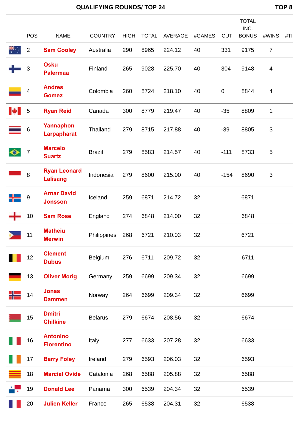|           | POS              | <b>NAME</b>                            | <b>COUNTRY</b> | <b>HIGH</b> | <b>TOTAL</b> | <b>AVERAGE</b> | #GAMES | <b>CUT</b>  | <b>TOTAL</b><br>INC.<br><b>BONUS</b> | #WINS                    | #TII |
|-----------|------------------|----------------------------------------|----------------|-------------|--------------|----------------|--------|-------------|--------------------------------------|--------------------------|------|
| ▓         | $\overline{2}$   | <b>Sam Cooley</b>                      | Australia      | 290         | 8965         | 224.12         | 40     | 331         | 9175                                 | $\overline{7}$           |      |
|           | 3                | <b>Osku</b><br><b>Palermaa</b>         | Finland        | 265         | 9028         | 225.70         | 40     | 304         | 9148                                 | $\overline{\mathcal{A}}$ |      |
|           | 4                | <b>Andres</b><br><b>Gomez</b>          | Colombia       | 260         | 8724         | 218.10         | 40     | $\mathbf 0$ | 8844                                 | $\overline{4}$           |      |
| H         | 5                | <b>Ryan Reid</b>                       | Canada         | 300         | 8779         | 219.47         | 40     | $-35$       | 8809                                 | $\mathbf{1}$             |      |
|           | 6                | Yannaphon<br><b>Larpapharat</b>        | Thailand       | 279         | 8715         | 217.88         | 40     | $-39$       | 8805                                 | $\mathbf{3}$             |      |
| $\bullet$ | $\overline{7}$   | <b>Marcelo</b><br><b>Suartz</b>        | <b>Brazil</b>  | 279         | 8583         | 214.57         | 40     | $-111$      | 8733                                 | $\sqrt{5}$               |      |
|           | 8                | <b>Ryan Leonard</b><br><b>Lalisang</b> | Indonesia      | 279         | 8600         | 215.00         | 40     | $-154$      | 8690                                 | $\sqrt{3}$               |      |
|           | $\boldsymbol{9}$ | <b>Arnar David</b><br><b>Jonsson</b>   | Iceland        | 259         | 6871         | 214.72         | 32     |             | 6871                                 |                          |      |
|           | 10               | <b>Sam Rose</b>                        | England        | 274         | 6848         | 214.00         | 32     |             | 6848                                 |                          |      |
|           | 11               | <b>Matheiu</b><br><b>Merwin</b>        | Philippines    | 268         | 6721         | 210.03         | 32     |             | 6721                                 |                          |      |
| H         | 12               | <b>Clement</b><br><b>Dubus</b>         | Belgium        | 276         | 6711         | 209.72         | 32     |             | 6711                                 |                          |      |
|           | 13               | <b>Oliver Morig</b>                    | Germany        | 259         | 6699         | 209.34         | 32     |             | 6699                                 |                          |      |
| ╬         | 14               | <b>Jonas</b><br><b>Dammen</b>          | Norway         | 264         | 6699         | 209.34         | 32     |             | 6699                                 |                          |      |
|           | 15               | <b>Dmitri</b><br><b>Chilkine</b>       | <b>Belarus</b> | 279         | 6674         | 208.56         | 32     |             | 6674                                 |                          |      |
|           | 16               | <b>Antonino</b><br><b>Fiorentino</b>   | Italy          | 277         | 6633         | 207.28         | 32     |             | 6633                                 |                          |      |
|           | 17               | <b>Barry Foley</b>                     | Ireland        | 279         | 6593         | 206.03         | 32     |             | 6593                                 |                          |      |
|           | 18               | <b>Marcial Ovide</b>                   | Catalonia      | 268         | 6588         | 205.88         | 32     |             | 6588                                 |                          |      |
| ÷.        | 19               | <b>Donald Lee</b>                      | Panama         | 300         | 6539         | 204.34         | 32     |             | 6539                                 |                          |      |
|           | 20               | <b>Julien Keller</b>                   | France         | 265         | 6538         | 204.31         | 32     |             | 6538                                 |                          |      |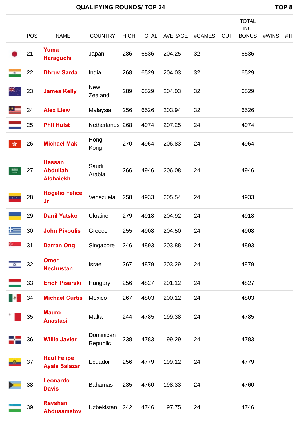|               | <b>POS</b> | <b>NAME</b>                                          | <b>COUNTRY</b>        | <b>HIGH</b> | <b>TOTAL</b> | AVERAGE | #GAMES | <b>CUT</b> | <b>TOTAL</b><br>INC.<br><b>BONUS</b> | #WINS | #TII |
|---------------|------------|------------------------------------------------------|-----------------------|-------------|--------------|---------|--------|------------|--------------------------------------|-------|------|
|               | 21         | Yuma<br><b>Haraguchi</b>                             | Japan                 | 286         | 6536         | 204.25  | 32     |            | 6536                                 |       |      |
|               | 22         | <b>Dhruv Sarda</b>                                   | India                 | 268         | 6529         | 204.03  | 32     |            | 6529                                 |       |      |
|               | 23         | <b>James Kelly</b>                                   | <b>New</b><br>Zealand | 289         | 6529         | 204.03  | 32     |            | 6529                                 |       |      |
|               | 24         | <b>Alex Liew</b>                                     | Malaysia              | 256         | 6526         | 203.94  | 32     |            | 6526                                 |       |      |
|               | 25         | <b>Phil Hulst</b>                                    | Netherlands 268       |             | 4974         | 207.25  | 24     |            | 4974                                 |       |      |
| 齿             | 26         | <b>Michael Mak</b>                                   | Hong<br>Kong          | 270         | 4964         | 206.83  | 24     |            | 4964                                 |       |      |
| 5,915         | 27         | <b>Hassan</b><br><b>Abdullah</b><br><b>Alshaiekh</b> | Saudi<br>Arabia       | 266         | 4946         | 206.08  | 24     |            | 4946                                 |       |      |
|               | 28         | <b>Rogelio Felice</b><br>Jr                          | Venezuela             | 258         | 4933         | 205.54  | 24     |            | 4933                                 |       |      |
|               | 29         | <b>Danil Yatsko</b>                                  | <b>Ukraine</b>        | 279         | 4918         | 204.92  | 24     |            | 4918                                 |       |      |
|               | 30         | <b>John Pikoulis</b>                                 | Greece                | 255         | 4908         | 204.50  | 24     |            | 4908                                 |       |      |
| $C =$         | 31         | <b>Darren Ong</b>                                    | Singapore             | 246         | 4893         | 203.88  | 24     |            | 4893                                 |       |      |
| $\frac{1}{2}$ | 32         | <b>Omer</b><br><b>Nechustan</b>                      | Israel                | 267         | 4879         | 203.29  | 24     |            | 4879                                 |       |      |
|               | 33         | <b>Erich Pisarski</b>                                | Hungary               | 256         | 4827         | 201.12  | 24     |            | 4827                                 |       |      |
|               | 34         | <b>Michael Curtis</b>                                | Mexico                | 267         | 4803         | 200.12  | 24     |            | 4803                                 |       |      |
|               | 35         | <b>Mauro</b><br><b>Anastasi</b>                      | Malta                 | 244         | 4785         | 199.38  | 24     |            | 4785                                 |       |      |
|               | 36         | <b>Willie Javier</b>                                 | Dominican<br>Republic | 238         | 4783         | 199.29  | 24     |            | 4783                                 |       |      |
|               | 37         | <b>Raul Felipe</b><br><b>Ayala Salazar</b>           | Ecuador               | 256         | 4779         | 199.12  | 24     |            | 4779                                 |       |      |
|               | 38         | <b>Leonardo</b><br><b>Davis</b>                      | <b>Bahamas</b>        | 235         | 4760         | 198.33  | 24     |            | 4760                                 |       |      |

**Abdusamatov** Uzbekistan 242 4746 197.75 24 4746

39

F

**Ravshan**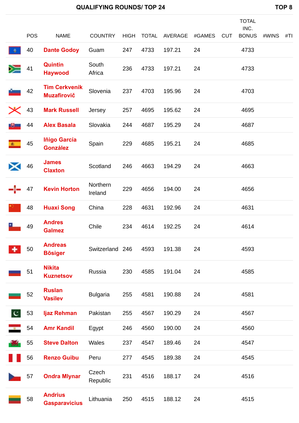|              | <b>POS</b> | <b>NAME</b>                                | <b>COUNTRY</b>      | <b>HIGH</b> | <b>TOTAL</b> | AVERAGE | #GAMES | <b>CUT</b> | <b>TOTAL</b><br>INC.<br><b>BONUS</b> | #WINS | #TII |
|--------------|------------|--------------------------------------------|---------------------|-------------|--------------|---------|--------|------------|--------------------------------------|-------|------|
|              | 40         | <b>Dante Godoy</b>                         | Guam                | 247         | 4733         | 197.21  | 24     |            | 4733                                 |       |      |
| ➣            | 41         | <b>Quintin</b><br><b>Haywood</b>           | South<br>Africa     | 236         | 4733         | 197.21  | 24     |            | 4733                                 |       |      |
|              | 42         | <b>Tim Cerkvenik</b><br><b>Muzafirovič</b> | Slovenia            | 237         | 4703         | 195.96  | 24     |            | 4703                                 |       |      |
|              | 43         | <b>Mark Russell</b>                        | Jersey              | 257         | 4695         | 195.62  | 24     |            | 4695                                 |       |      |
|              | 44         | <b>Alex Basala</b>                         | Slovakia            | 244         | 4687         | 195.29  | 24     |            | 4687                                 |       |      |
| 面            | 45         | Iñigo García<br><b>González</b>            | Spain               | 229         | 4685         | 195.21  | 24     |            | 4685                                 |       |      |
|              | 46         | <b>James</b><br><b>Claxton</b>             | Scotland            | 246         | 4663         | 194.29  | 24     |            | 4663                                 |       |      |
|              | 47         | <b>Kevin Horton</b>                        | Northern<br>Ireland | 229         | 4656         | 194.00  | 24     |            | 4656                                 |       |      |
|              | 48         | <b>Huaxi Song</b>                          | China               | 228         | 4631         | 192.96  | 24     |            | 4631                                 |       |      |
|              | 49         | <b>Andres</b><br><b>Galmez</b>             | Chile               | 234         | 4614         | 192.25  | 24     |            | 4614                                 |       |      |
|              | 50         | <b>Andreas</b><br><b>Bösiger</b>           | Switzerland 246     |             | 4593         | 191.38  | 24     |            | 4593                                 |       |      |
|              | 51         | <b>Nikita</b><br><b>Kuznetsov</b>          | Russia              | 230         | 4585         | 191.04  | 24     |            | 4585                                 |       |      |
|              | 52         | <b>Ruslan</b><br><b>Vasilev</b>            | <b>Bulgaria</b>     | 255         | 4581         | 190.88  | 24     |            | 4581                                 |       |      |
| $\mathbf{c}$ | 53         | Ijaz Rehman                                | Pakistan            | 255         | 4567         | 190.29  | 24     |            | 4567                                 |       |      |
| $\mathbf{u}$ | 54         | <b>Amr Kandil</b>                          | Egypt               | 246         | 4560         | 190.00  | 24     |            | 4560                                 |       |      |
| <b>TAN</b>   | 55         | <b>Steve Dalton</b>                        | Wales               | 237         | 4547         | 189.46  | 24     |            | 4547                                 |       |      |
|              | 56         | <b>Renzo Guibu</b>                         | Peru                | 277         | 4545         | 189.38  | 24     |            | 4545                                 |       |      |
|              | 57         | <b>Ondra Mlynar</b>                        | Czech<br>Republic   | 231         | 4516         | 188.17  | 24     |            | 4516                                 |       |      |
|              | 58         | <b>Andrius</b><br><b>Gasparavicius</b>     | Lithuania           | 250         | 4515         | 188.12  | 24     |            | 4515                                 |       |      |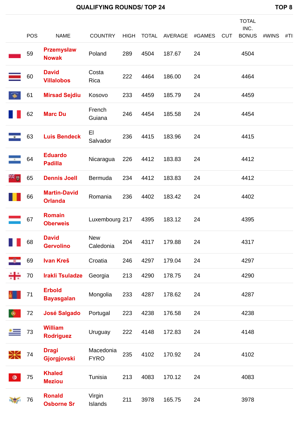|   | <b>POS</b>                             | <b>NAME</b>                           | <b>COUNTRY</b>           | <b>HIGH</b> | <b>TOTAL</b> | AVERAGE | #GAMES | <b>CUT</b> | <b>TOTAL</b><br>INC.<br><b>BONUS</b> | #WINS | #TII |
|---|----------------------------------------|---------------------------------------|--------------------------|-------------|--------------|---------|--------|------------|--------------------------------------|-------|------|
|   | 59                                     | <b>Przemysław</b>                     | Poland                   | 289         | 4504         | 187.67  | 24     |            | 4504                                 |       |      |
|   |                                        | <b>Nowak</b>                          |                          |             |              |         |        |            |                                      |       |      |
|   | 60                                     | <b>David</b><br><b>Villalobos</b>     | Costa<br>Rica            | 222         | 4464         | 186.00  | 24     |            | 4464                                 |       |      |
|   | 61                                     | <b>Mirsad Sejdiu</b>                  | Kosovo                   | 233         | 4459         | 185.79  | 24     |            | 4459                                 |       |      |
|   | 62                                     | <b>Marc Du</b>                        | French<br>Guiana         | 246         | 4454         | 185.58  | 24     |            | 4454                                 |       |      |
|   | 63                                     | <b>Luis Bendeck</b>                   | EI<br>Salvador           | 236         | 4415         | 183.96  | 24     |            | 4415                                 |       |      |
|   | 64                                     | <b>Eduardo</b><br><b>Padilla</b>      | Nicaragua                | 226         | 4412         | 183.83  | 24     |            | 4412                                 |       |      |
|   | 65                                     | <b>Dennis Joell</b>                   | Bermuda                  | 234         | 4412         | 183.83  | 24     |            | 4412                                 |       |      |
|   | 66                                     | <b>Martin-David</b><br><b>Orlanda</b> | Romania                  | 236         | 4402         | 183.42  | 24     |            | 4402                                 |       |      |
|   | 67                                     | <b>Romain</b><br><b>Oberweis</b>      | Luxembourg 217           |             | 4395         | 183.12  | 24     |            | 4395                                 |       |      |
|   | $\begin{bmatrix} 1 & 68 \end{bmatrix}$ | <b>David</b><br><b>Gervolino</b>      | <b>New</b><br>Caledonia  | 204         | 4317         | 179.88  | 24     |            | 4317                                 |       |      |
|   | 69                                     | Ivan Kreš                             | Croatia                  | 246         | 4297         | 179.04  | 24     |            | 4297                                 |       |      |
|   | 70                                     | <b>Irakli Tsuladze</b>                | Georgia                  | 213         | 4290         | 178.75  | 24     |            | 4290                                 |       |      |
|   | 71                                     | <b>Erbold</b><br><b>Bayasgalan</b>    | Mongolia                 | 233         | 4287         | 178.62  | 24     |            | 4287                                 |       |      |
|   | 72                                     | <b>José Salgado</b>                   | Portugal                 | 223         | 4238         | 176.58  | 24     |            | 4238                                 |       |      |
|   | 73                                     | <b>William</b><br><b>Rodriguez</b>    | Uruguay                  | 222         | 4148         | 172.83  | 24     |            | 4148                                 |       |      |
|   | 74                                     | <b>Dragi</b><br>Gjorgjovski           | Macedonia<br><b>FYRO</b> | 235         | 4102         | 170.92  | 24     |            | 4102                                 |       |      |
| o | 75                                     | <b>Khaled</b><br><b>Meziou</b>        | Tunisia                  | 213         | 4083         | 170.12  | 24     |            | 4083                                 |       |      |
|   | 76                                     | <b>Ronald</b><br><b>Osborne Sr</b>    | Virgin<br>Islands        | 211         | 3978         | 165.75  | 24     |            | 3978                                 |       |      |